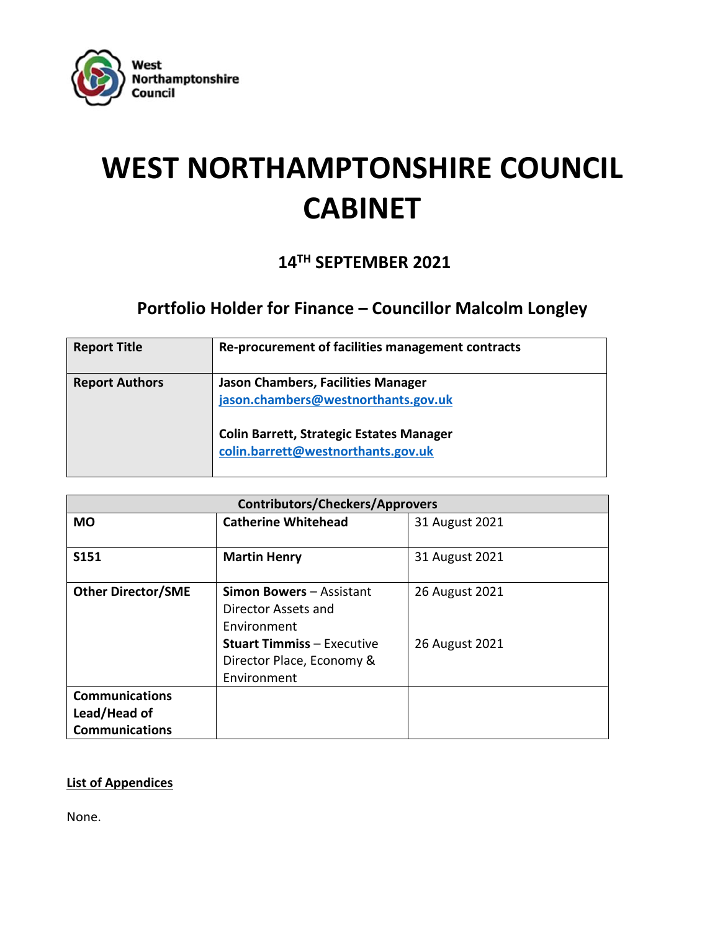

# **WEST NORTHAMPTONSHIRE COUNCIL CABINET**

### **14TH SEPTEMBER 2021**

## **Portfolio Holder for Finance – Councillor Malcolm Longley**

| <b>Report Title</b>   | Re-procurement of facilities management contracts                                                                                                                         |
|-----------------------|---------------------------------------------------------------------------------------------------------------------------------------------------------------------------|
| <b>Report Authors</b> | <b>Jason Chambers, Facilities Manager</b><br>jason.chambers@westnorthants.gov.uk<br><b>Colin Barrett, Strategic Estates Manager</b><br>colin.barrett@westnorthants.gov.uk |

| <b>Contributors/Checkers/Approvers</b> |                                   |                |  |  |  |
|----------------------------------------|-----------------------------------|----------------|--|--|--|
| <b>MO</b>                              | <b>Catherine Whitehead</b>        | 31 August 2021 |  |  |  |
|                                        |                                   |                |  |  |  |
| <b>S151</b>                            | <b>Martin Henry</b>               | 31 August 2021 |  |  |  |
|                                        |                                   |                |  |  |  |
| <b>Other Director/SME</b>              | <b>Simon Bowers - Assistant</b>   | 26 August 2021 |  |  |  |
|                                        | Director Assets and               |                |  |  |  |
|                                        | Environment                       |                |  |  |  |
|                                        | <b>Stuart Timmiss - Executive</b> | 26 August 2021 |  |  |  |
|                                        | Director Place, Economy &         |                |  |  |  |
|                                        | Environment                       |                |  |  |  |
| <b>Communications</b>                  |                                   |                |  |  |  |
| Lead/Head of                           |                                   |                |  |  |  |
| <b>Communications</b>                  |                                   |                |  |  |  |

#### **List of Appendices**

None.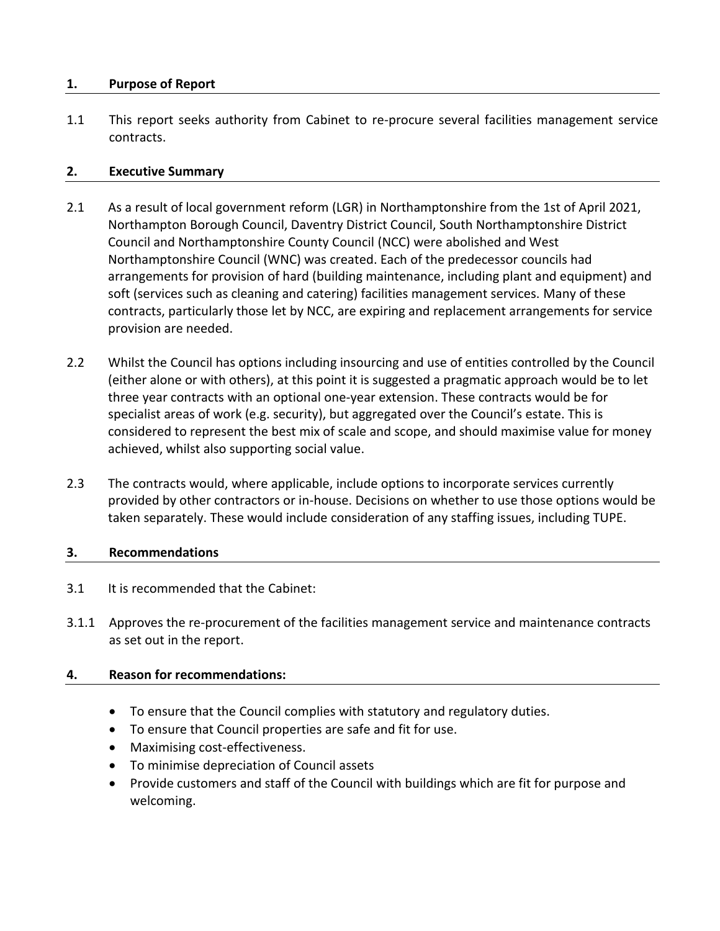#### **1. Purpose of Report**

1.1 This report seeks authority from Cabinet to re-procure several facilities management service contracts.

#### **2. Executive Summary**

- 2.1 As a result of local government reform (LGR) in Northamptonshire from the 1st of April 2021, Northampton Borough Council, Daventry District Council, South Northamptonshire District Council and Northamptonshire County Council (NCC) were abolished and West Northamptonshire Council (WNC) was created. Each of the predecessor councils had arrangements for provision of hard (building maintenance, including plant and equipment) and soft (services such as cleaning and catering) facilities management services. Many of these contracts, particularly those let by NCC, are expiring and replacement arrangements for service provision are needed.
- 2.2 Whilst the Council has options including insourcing and use of entities controlled by the Council (either alone or with others), at this point it is suggested a pragmatic approach would be to let three year contracts with an optional one-year extension. These contracts would be for specialist areas of work (e.g. security), but aggregated over the Council's estate. This is considered to represent the best mix of scale and scope, and should maximise value for money achieved, whilst also supporting social value.
- 2.3 The contracts would, where applicable, include options to incorporate services currently provided by other contractors or in-house. Decisions on whether to use those options would be taken separately. These would include consideration of any staffing issues, including TUPE.

#### **3. Recommendations**

- 3.1 It is recommended that the Cabinet:
- 3.1.1 Approves the re-procurement of the facilities management service and maintenance contracts as set out in the report.

#### **4. Reason for recommendations:**

- To ensure that the Council complies with statutory and regulatory duties.
- To ensure that Council properties are safe and fit for use.
- Maximising cost-effectiveness.
- To minimise depreciation of Council assets
- Provide customers and staff of the Council with buildings which are fit for purpose and welcoming.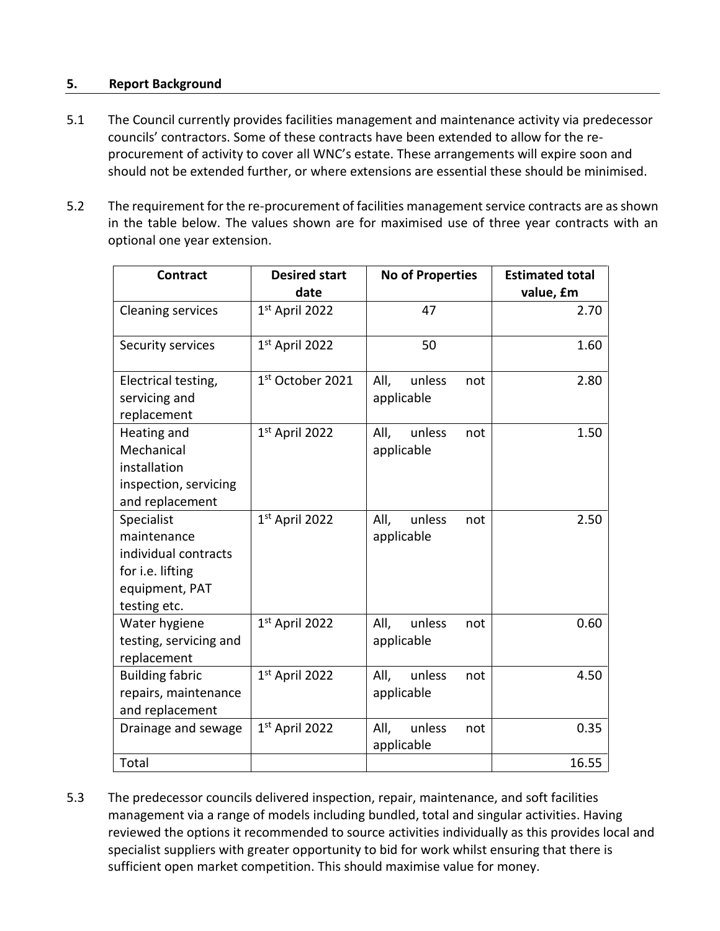#### **5. Report Background**

- 5.1 The Council currently provides facilities management and maintenance activity via predecessor councils' contractors. Some of these contracts have been extended to allow for the reprocurement of activity to cover all WNC's estate. These arrangements will expire soon and should not be extended further, or where extensions are essential these should be minimised.
- 5.2 The requirement for the re-procurement of facilities management service contracts are as shown in the table below. The values shown are for maximised use of three year contracts with an optional one year extension.

| <b>Contract</b>                                                                                         | <b>Desired start</b><br>date | <b>No of Properties</b>             | <b>Estimated total</b><br>value, £m |
|---------------------------------------------------------------------------------------------------------|------------------------------|-------------------------------------|-------------------------------------|
| <b>Cleaning services</b>                                                                                | 1st April 2022               | 47                                  | 2.70                                |
| Security services                                                                                       | 1st April 2022               | 50                                  | 1.60                                |
| Electrical testing,<br>servicing and<br>replacement                                                     | 1st October 2021             | All,<br>unless<br>not<br>applicable | 2.80                                |
| Heating and<br>Mechanical<br>installation<br>inspection, servicing<br>and replacement                   | 1st April 2022               | All,<br>unless<br>not<br>applicable | 1.50                                |
| Specialist<br>maintenance<br>individual contracts<br>for i.e. lifting<br>equipment, PAT<br>testing etc. | 1st April 2022               | All,<br>unless<br>not<br>applicable | 2.50                                |
| Water hygiene<br>testing, servicing and<br>replacement                                                  | 1st April 2022               | All,<br>unless<br>not<br>applicable | 0.60                                |
| <b>Building fabric</b><br>repairs, maintenance<br>and replacement                                       | 1st April 2022               | All,<br>unless<br>not<br>applicable | 4.50                                |
| Drainage and sewage                                                                                     | $1st$ April 2022             | All,<br>unless<br>not<br>applicable | 0.35                                |
| Total                                                                                                   |                              |                                     | 16.55                               |

5.3 The predecessor councils delivered inspection, repair, maintenance, and soft facilities management via a range of models including bundled, total and singular activities. Having reviewed the options it recommended to source activities individually as this provides local and specialist suppliers with greater opportunity to bid for work whilst ensuring that there is sufficient open market competition. This should maximise value for money.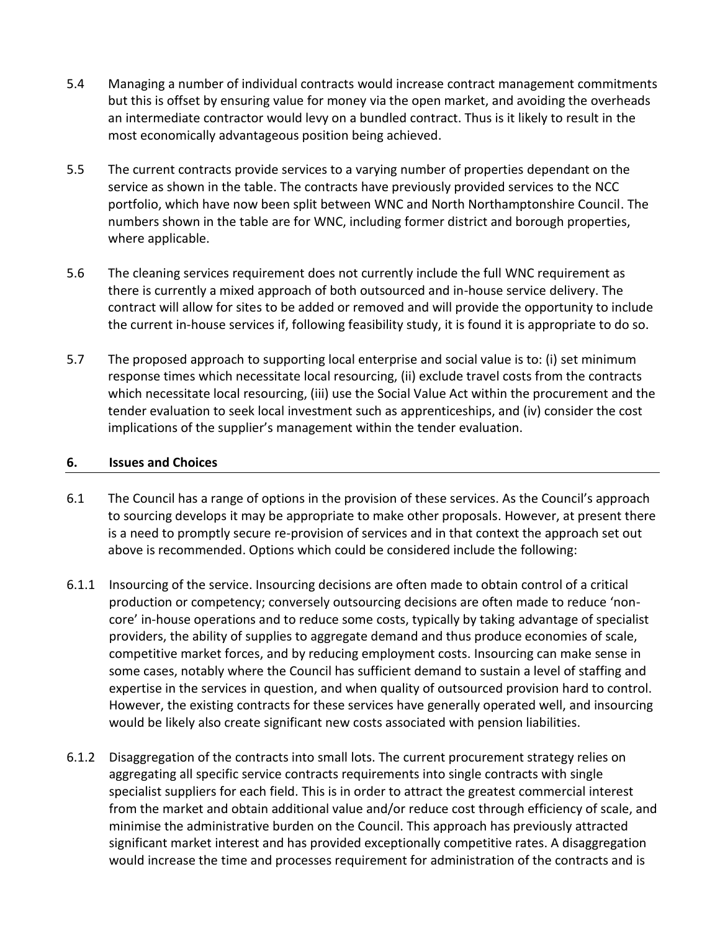- 5.4 Managing a number of individual contracts would increase contract management commitments but this is offset by ensuring value for money via the open market, and avoiding the overheads an intermediate contractor would levy on a bundled contract. Thus is it likely to result in the most economically advantageous position being achieved.
- 5.5 The current contracts provide services to a varying number of properties dependant on the service as shown in the table. The contracts have previously provided services to the NCC portfolio, which have now been split between WNC and North Northamptonshire Council. The numbers shown in the table are for WNC, including former district and borough properties, where applicable.
- 5.6 The cleaning services requirement does not currently include the full WNC requirement as there is currently a mixed approach of both outsourced and in-house service delivery. The contract will allow for sites to be added or removed and will provide the opportunity to include the current in-house services if, following feasibility study, it is found it is appropriate to do so.
- <span id="page-3-0"></span>5.7 The proposed approach to supporting local enterprise and social value is to: (i) set minimum response times which necessitate local resourcing, (ii) exclude travel costs from the contracts which necessitate local resourcing, (iii) use the Social Value Act within the procurement and the tender evaluation to seek local investment such as apprenticeships, and (iv) consider the cost implications of the supplier's management within the tender evaluation.

#### **6. Issues and Choices**

- 6.1 The Council has a range of options in the provision of these services. As the Council's approach to sourcing develops it may be appropriate to make other proposals. However, at present there is a need to promptly secure re-provision of services and in that context the approach set out above is recommended. Options which could be considered include the following:
- 6.1.1 Insourcing of the service. Insourcing decisions are often made to obtain control of a critical production or competency; conversely outsourcing decisions are often made to reduce 'noncore' in-house operations and to reduce some costs, typically by taking advantage of specialist providers, the ability of supplies to aggregate demand and thus produce economies of scale, competitive market forces, and by reducing employment costs. Insourcing can make sense in some cases, notably where the Council has sufficient demand to sustain a level of staffing and expertise in the services in question, and when quality of outsourced provision hard to control. However, the existing contracts for these services have generally operated well, and insourcing would be likely also create significant new costs associated with pension liabilities.
- 6.1.2 Disaggregation of the contracts into small lots. The current procurement strategy relies on aggregating all specific service contracts requirements into single contracts with single specialist suppliers for each field. This is in order to attract the greatest commercial interest from the market and obtain additional value and/or reduce cost through efficiency of scale, and minimise the administrative burden on the Council. This approach has previously attracted significant market interest and has provided exceptionally competitive rates. A disaggregation would increase the time and processes requirement for administration of the contracts and is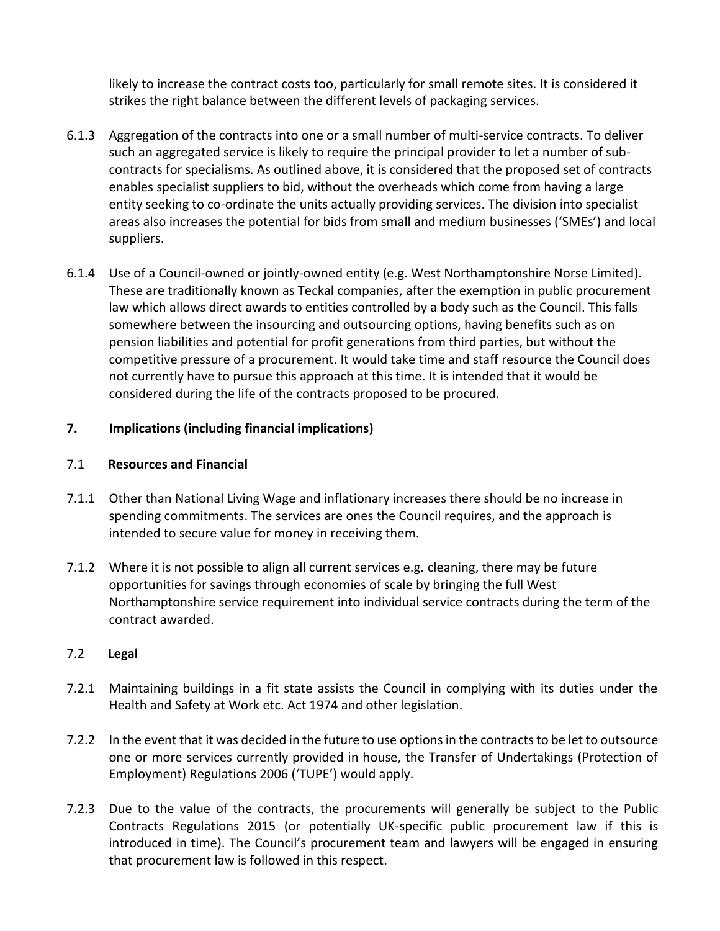likely to increase the contract costs too, particularly for small remote sites. It is considered it strikes the right balance between the different levels of packaging services.

- 6.1.3 Aggregation of the contracts into one or a small number of multi-service contracts. To deliver such an aggregated service is likely to require the principal provider to let a number of subcontracts for specialisms. As outlined above, it is considered that the proposed set of contracts enables specialist suppliers to bid, without the overheads which come from having a large entity seeking to co-ordinate the units actually providing services. The division into specialist areas also increases the potential for bids from small and medium businesses ('SMEs') and local suppliers.
- 6.1.4 Use of a Council-owned or jointly-owned entity (e.g. West Northamptonshire Norse Limited). These are traditionally known as Teckal companies, after the exemption in public procurement law which allows direct awards to entities controlled by a body such as the Council. This falls somewhere between the insourcing and outsourcing options, having benefits such as on pension liabilities and potential for profit generations from third parties, but without the competitive pressure of a procurement. It would take time and staff resource the Council does not currently have to pursue this approach at this time. It is intended that it would be considered during the life of the contracts proposed to be procured.

#### **7. Implications (including financial implications)**

#### 7.1 **Resources and Financial**

- 7.1.1 Other than National Living Wage and inflationary increases there should be no increase in spending commitments. The services are ones the Council requires, and the approach is intended to secure value for money in receiving them.
- 7.1.2 Where it is not possible to align all current services e.g. cleaning, there may be future opportunities for savings through economies of scale by bringing the full West Northamptonshire service requirement into individual service contracts during the term of the contract awarded.

#### 7.2 **Legal**

- 7.2.1 Maintaining buildings in a fit state assists the Council in complying with its duties under the Health and Safety at Work etc. Act 1974 and other legislation.
- 7.2.2 In the event that it was decided in the future to use options in the contracts to be let to outsource one or more services currently provided in house, the Transfer of Undertakings (Protection of Employment) Regulations 2006 ('TUPE') would apply.
- 7.2.3 Due to the value of the contracts, the procurements will generally be subject to the Public Contracts Regulations 2015 (or potentially UK-specific public procurement law if this is introduced in time). The Council's procurement team and lawyers will be engaged in ensuring that procurement law is followed in this respect.